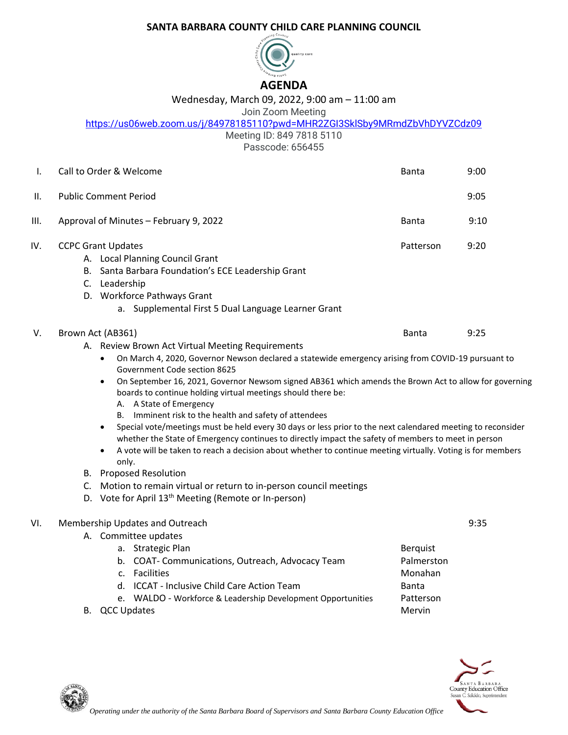## **SANTA BARBARA COUNTY CHILD CARE PLANNING COUNCIL**



## Wednesday, March 09, 2022, 9:00 am – 11:00 am

## Join Zoom Meeting

<https://us06web.zoom.us/j/84978185110?pwd=MHR2ZGI3SklSby9MRmdZbVhDYVZCdz09>

Meeting ID: 849 7818 5110

Passcode: 656455

| Ι.   | Call to Order & Welcome                                                                                                                                                                                                                                                                                                                                                                                                                                                                                                                                                                                                                                                                                                                                                                                                                                                                                                                                                                                                                                 | <b>Banta</b>                                                             | 9:00 |
|------|---------------------------------------------------------------------------------------------------------------------------------------------------------------------------------------------------------------------------------------------------------------------------------------------------------------------------------------------------------------------------------------------------------------------------------------------------------------------------------------------------------------------------------------------------------------------------------------------------------------------------------------------------------------------------------------------------------------------------------------------------------------------------------------------------------------------------------------------------------------------------------------------------------------------------------------------------------------------------------------------------------------------------------------------------------|--------------------------------------------------------------------------|------|
| II.  | <b>Public Comment Period</b>                                                                                                                                                                                                                                                                                                                                                                                                                                                                                                                                                                                                                                                                                                                                                                                                                                                                                                                                                                                                                            |                                                                          | 9:05 |
| III. | Approval of Minutes - February 9, 2022                                                                                                                                                                                                                                                                                                                                                                                                                                                                                                                                                                                                                                                                                                                                                                                                                                                                                                                                                                                                                  | Banta                                                                    | 9:10 |
| IV.  | <b>CCPC Grant Updates</b><br>A. Local Planning Council Grant<br>B. Santa Barbara Foundation's ECE Leadership Grant<br>C. Leadership<br>D. Workforce Pathways Grant<br>a. Supplemental First 5 Dual Language Learner Grant                                                                                                                                                                                                                                                                                                                                                                                                                                                                                                                                                                                                                                                                                                                                                                                                                               | Patterson                                                                | 9:20 |
| V.   | Brown Act (AB361)<br>A. Review Brown Act Virtual Meeting Requirements<br>On March 4, 2020, Governor Newson declared a statewide emergency arising from COVID-19 pursuant to<br>$\bullet$<br>Government Code section 8625<br>On September 16, 2021, Governor Newsom signed AB361 which amends the Brown Act to allow for governing<br>$\bullet$<br>boards to continue holding virtual meetings should there be:<br>A. A State of Emergency<br>B. Imminent risk to the health and safety of attendees<br>Special vote/meetings must be held every 30 days or less prior to the next calendared meeting to reconsider<br>$\bullet$<br>whether the State of Emergency continues to directly impact the safety of members to meet in person<br>A vote will be taken to reach a decision about whether to continue meeting virtually. Voting is for members<br>$\bullet$<br>only.<br><b>B.</b> Proposed Resolution<br>C. Motion to remain virtual or return to in-person council meetings<br>D. Vote for April 13 <sup>th</sup> Meeting (Remote or In-person) | Banta                                                                    | 9:25 |
| VI.  | Membership Updates and Outreach<br>A. Committee updates<br>a. Strategic Plan<br>b. COAT- Communications, Outreach, Advocacy Team<br>c. Facilities<br>d. ICCAT - Inclusive Child Care Action Team<br>e. WALDO - Workforce & Leadership Development Opportunities<br>B. QCC Updates                                                                                                                                                                                                                                                                                                                                                                                                                                                                                                                                                                                                                                                                                                                                                                       | <b>Berquist</b><br>Palmerston<br>Monahan<br>Banta<br>Patterson<br>Mervin | 9:35 |